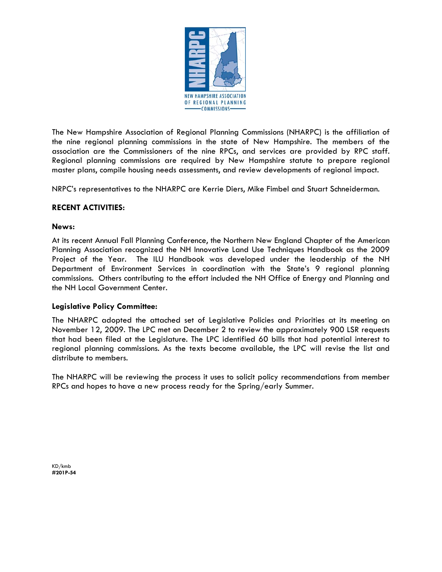

The New Hampshire Association of Regional Planning Commissions (NHARPC) is the affiliation of the nine regional planning commissions in the state of New Hampshire. The members of the association are the Commissioners of the nine RPCs, and services are provided by RPC staff. Regional planning commissions are required by New Hampshire statute to prepare regional master plans, compile housing needs assessments, and review developments of regional impact.

NRPC's representatives to the NHARPC are Kerrie Diers, Mike Fimbel and Stuart Schneiderman.

# **RECENT ACTIVITIES:**

## **News:**

At its recent Annual Fall Planning Conference, the Northern New England Chapter of the American Planning Association recognized the NH Innovative Land Use Techniques Handbook as the 2009 Project of the Year. The ILU Handbook was developed under the leadership of the NH Department of Environment Services in coordination with the State's 9 regional planning commissions. Others contributing to the effort included the NH Office of Energy and Planning and the NH Local Government Center.

## **Legislative Policy Committee:**

The NHARPC adopted the attached set of Legislative Policies and Priorities at its meeting on November 12, 2009. The LPC met on December 2 to review the approximately 900 LSR requests that had been filed at the Legislature. The LPC identified 60 bills that had potential interest to regional planning commissions. As the texts become available, the LPC will revise the list and distribute to members.

The NHARPC will be reviewing the process it uses to solicit policy recommendations from member RPCs and hopes to have a new process ready for the Spring/early Summer.

KD/kmb **#201P-54**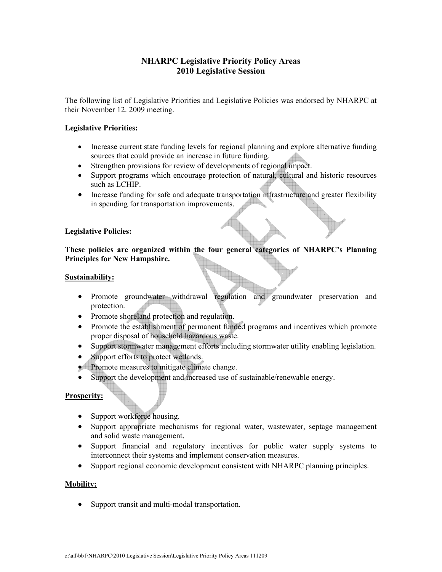# **NHARPC Legislative Priority Policy Areas 2010 Legislative Session**

The following list of Legislative Priorities and Legislative Policies was endorsed by NHARPC at their November 12. 2009 meeting.

#### **Legislative Priorities:**

- Increase current state funding levels for regional planning and explore alternative funding sources that could provide an increase in future funding.
- Strengthen provisions for review of developments of regional impact.
- Support programs which encourage protection of natural, cultural and historic resources such as LCHIP.
- Increase funding for safe and adequate transportation infrastructure and greater flexibility in spending for transportation improvements.

#### **Legislative Policies:**

**These policies are organized within the four general categories of NHARPC's Planning Principles for New Hampshire.** 

#### **Sustainability:**

- Promote groundwater withdrawal regulation and groundwater preservation and protection.
- Promote shoreland protection and regulation.
- Promote the establishment of permanent funded programs and incentives which promote proper disposal of household hazardous waste.
- Support stormwater management efforts including stormwater utility enabling legislation.
- Support efforts to protect wetlands.
- Promote measures to mitigate climate change.
- Support the development and increased use of sustainable/renewable energy.

## **Prosperity:**

- Support workforce housing.
- Support appropriate mechanisms for regional water, wastewater, septage management and solid waste management.
- Support financial and regulatory incentives for public water supply systems to interconnect their systems and implement conservation measures.
- Support regional economic development consistent with NHARPC planning principles.

#### **Mobility:**

• Support transit and multi-modal transportation.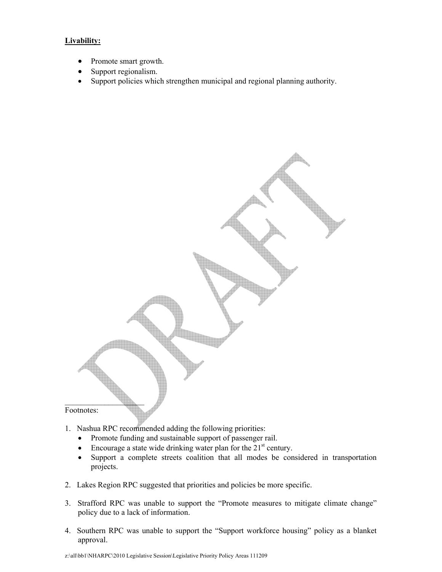## **Livability:**

- Promote smart growth.
- Support regionalism.
- Support policies which strengthen municipal and regional planning authority.



- 1. Nashua RPC recommended adding the following priorities:
	- Promote funding and sustainable support of passenger rail.
	- Encourage a state wide drinking water plan for the  $21<sup>st</sup>$  century.
	- Support a complete streets coalition that all modes be considered in transportation projects.
- 2. Lakes Region RPC suggested that priorities and policies be more specific.
- 3. Strafford RPC was unable to support the "Promote measures to mitigate climate change" policy due to a lack of information.
- 4. Southern RPC was unable to support the "Support workforce housing" policy as a blanket approval.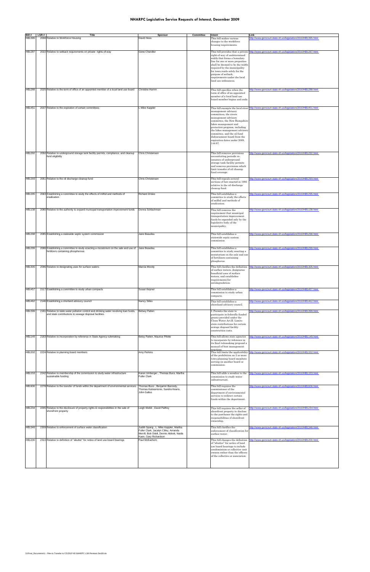# **NHARPC Legislative Service Requests of Interest, December 2009**

| Bill#            | LSR# | <b>Title</b>                                                                                                                                                                                  | Sponsor                                                                                      | Committee | Intent                                                                                                                                                                                                                                                                                                                                       | Link                                                                                                                         |
|------------------|------|-----------------------------------------------------------------------------------------------------------------------------------------------------------------------------------------------|----------------------------------------------------------------------------------------------|-----------|----------------------------------------------------------------------------------------------------------------------------------------------------------------------------------------------------------------------------------------------------------------------------------------------------------------------------------------------|------------------------------------------------------------------------------------------------------------------------------|
| HB1395           |      | 2008 Relative to Workforce Housing                                                                                                                                                            | David Hess                                                                                   |           | This bill makes various<br>changes to the workforce<br>housing requirements.                                                                                                                                                                                                                                                                 | http://www.gencourt.state.nh.us/legislation/2010/HB1395.html                                                                 |
| <b>HB1287</b>    |      | 2022 Relative to setback requirements on private rights-of-way                                                                                                                                | Gene Chandler                                                                                |           | This bill provides that a private<br>right-of-way of undetermined<br>width that forms a boundary<br>line for one or more properties<br>shall be deemed to be the width<br>required by the municipality<br>for town roads solely for the<br>purpose of setback<br>requirements under the local<br>land use ordinances.                        | http://www.gencourt.state.nh.us/legislation/2010/HB1287.html                                                                 |
| <b>HB1288</b>    |      | 2025 Relative to the term of office of an appointed member of a local land use board                                                                                                          | Christine Hamm                                                                               |           | This bill specifies when the<br>term of office of an appointed<br>member of a local land use<br>board member begins and ends.                                                                                                                                                                                                                | ttp://www.gencourt.state.nh.us/legislation/2010/HB1288.html                                                                  |
| HB1451           |      | 2037 Relative to the expiration of certain committees                                                                                                                                         | L Mike Kappler                                                                               |           | This bill exempts the local river<br>management advisory<br>committees, the rivers<br>management advisory<br>committee, the New Hampshire<br>lakes management and<br>protection program, including<br>the lakes management advisory<br>committee, and the oil fund<br>disbursement board from the<br>expiration dates under 2009,<br>144:87. | http://www.gencourt.state.nh.us/legislation/2010/HB1451.html                                                                 |
| HB1292           |      | 2050 Relative to underground storage tank facility permits, compliance, and cleanup<br>fund eligibility                                                                                       | <b>Chris Christensen</b>                                                                     |           | This bill removes provisions<br>necessitating periodic re-<br>issuance of underground<br>storage tank facility permits<br>and removes provisions which<br>limit transfer of oil cleanup<br>fund coverage.                                                                                                                                    | ttp://www.gencourt.state.nh.us/legislation/2010/HB1292.html                                                                  |
| HB1293           |      | 2051 Relative to the oil discharge cleanup fund                                                                                                                                               | Chris Christensen                                                                            |           | This bill repeals several<br>sections of law enacted in 1995<br>relative to the oil discharge<br>cleanup fund.                                                                                                                                                                                                                               | http://www.gencourt.state.nh.us/legislation/2010/HB1293.html                                                                 |
| HB1295           | 2063 | Establishing a committee to study the effects of milfoil and methods of<br>eradication                                                                                                        | <b>Richard Drisko</b>                                                                        |           | This bill establishes a<br>committee to study the effects<br>of milfoil and methods of<br>eradication.                                                                                                                                                                                                                                       | ttp://www.gencourt.state.nh.us/legislation/2010/HB1295.html                                                                  |
| HB1138           |      | 2080 Relative to the authority to expand municipal transportation improvement funds                                                                                                           | Donna Schlachman                                                                             |           | This bill removes the<br>requirement that municipal<br>transportation improvement<br>funds be expended only by the<br>legislative body of the<br>municipality.                                                                                                                                                                               | http://www.gencourt.state.nh.us/legislation/2010/HB1138.html                                                                 |
| <b>HB1298</b>    |      | 2085 Establishing a statewide septic system commission                                                                                                                                        | Jane Beaulieu                                                                                |           | This bill establishes a<br>statewide septic system<br>commission                                                                                                                                                                                                                                                                             | ttp://www.gencourt.state.nh.us/legislation/2010/HB1298.html                                                                  |
| <b>HB1299</b>    | 2086 | Establishing a committee to study enacting a moratorium on the sale and use of<br>fertilizers containing phosphorous                                                                          | Jane Beaulieu                                                                                |           | This bill establishes a<br>committee to study enacting a<br>moratorium on the sale and use<br>of fertilizers containing<br>phosphorus.                                                                                                                                                                                                       | ttp://www.gencourt.state.nh.us/legislation/2010/HB1299.html                                                                  |
| HB1305           |      | 2096 Relative to designating uses for surface waters                                                                                                                                          | Marcia Moody                                                                                 |           | This bill clarifies the definition<br>of surface waters, designates<br>beneficial uses of surface<br>waters, and establishes<br>requirements for<br>antidegradation.                                                                                                                                                                         | http://www.gencourt.state.nh.us/legislation/2010/HB1305.html                                                                 |
| HB1457           |      | 2117 Establishing a committee to study urban compacts                                                                                                                                         | Susan Kepner                                                                                 |           | This bill establishes a<br>commission to study urban<br>compacts.                                                                                                                                                                                                                                                                            | ttp://www.gencourt.state.nh.us/legislation/2010/HB1457.html                                                                  |
| HB1462           |      | 2146 Establishing a shorland advisory council                                                                                                                                                 | Nancy Stiles                                                                                 |           | This bill establishes a<br>shoreland advisory council.                                                                                                                                                                                                                                                                                       | ttp://www.gencourt.state.nh.us/legislation/2010/HB1462.html                                                                  |
| HB1399           |      | 2181 Relative to state water pollution control and drinking water revolving loan funds,<br>and state contributions to sewage disposal facilities.                                             | <b>Betsey Patten</b>                                                                         |           | . Permits the state to<br>participate in federally funded<br>grants provided under the<br>Clean Water Act.II. Limits<br>state contributions for certain<br>sewage disposal facility<br>construction costs.                                                                                                                                   | ttp://www.gencourt.state.nh.us/legislation/2010/HB1399.html                                                                  |
| <b>HB1149</b>    |      | 2183 Relative to incorporation by reference in State Agency rulemaking                                                                                                                        | Betsy Patten, Maurice Pilotte                                                                |           | This bill allows state agencies<br>to incorporate by reference in<br>its final rulemaking proposal a<br>manual of best management<br>oractices                                                                                                                                                                                               | http://www.gencourt.state.nh.us/legislation/2010/HB1149.html                                                                 |
| HB1332           |      | 2224 Relative to planning board members                                                                                                                                                       | Amy Perkins                                                                                  |           | This bill limits the applicability<br>of the prohibition on 2 or more<br>town planning board members<br>serving on another board or<br>commission.                                                                                                                                                                                           | http://www.gencourt.state.nh.us/legislation/2010/HB1332.html                                                                 |
| HB1153<br>HB1606 |      | 2242 Relative to membership of the commission to study water infrastructure<br>sustainable funding<br>2278 Relative to the transfer of funds within the department of environmental services. | Karen Umberger, Thomas Buco, Martha<br><b>Fuller Clark</b><br>Thomas Buco, Benjamin Baroody, |           | This bill adds a member to the<br>commission to study water<br>infrastructure.<br>This bill requires the                                                                                                                                                                                                                                     | http://www.gencourt.state.nh.us/legislation/2010/HB1153.html<br>http://www.gencourt.state.nh.us/legislation/2010/HB1606.html |
|                  |      |                                                                                                                                                                                               | Thomas Katsiantonis, Sandra Keans,<br>John Gallus                                            |           | commissioner of the<br>department of environmental<br>services to redirect certain<br>funds within the department.                                                                                                                                                                                                                           |                                                                                                                              |
| <b>HB1234</b>    |      | 2295 Relative to the disclosure of property rights & responsibilities in the sale of<br>shorefront property                                                                                   | Leigh Webb, David Palfrey                                                                    |           | This bill requires the seller of<br>shorefront property to disclose<br>to the purchaser the rights and<br>responsibilities of shorefront                                                                                                                                                                                                     | ttp://www.gencourt.state.nh.us/legislation/2010/HB1234.html                                                                  |

|        |                                                                                |                                                                                  | responsibilities of shorefront<br>ownership. |                                                                                               |
|--------|--------------------------------------------------------------------------------|----------------------------------------------------------------------------------|----------------------------------------------|-----------------------------------------------------------------------------------------------|
| HB1349 | 2309 Relative to enforcement of surface water classification                   | Judith Spang, L. Mike Kappler, Martha                                            | This bill clarifies the                      | http://www.qencourt.state.nh.us/legislation/2010/HB1348.html                                  |
|        |                                                                                | Fuller Clark, Jacalyn Cilley, Amanda<br>Merrill, Bob Odell, Dennis Abbott, Naida | enforcement of classification for            |                                                                                               |
|        |                                                                                |                                                                                  | surface water.                               |                                                                                               |
|        |                                                                                | Kaen, Gary Richardson                                                            |                                              |                                                                                               |
| HB1200 | 2310 Relative to definition of "abutter" for notice of land use board hearings | Paul McEachem                                                                    |                                              | This bill changes the definition http://www.gencourt.state.nh.us/legislation/2010/HB1200.html |
|        |                                                                                |                                                                                  | of "abutter" for notice of land              |                                                                                               |
|        |                                                                                |                                                                                  | use board hearings to include                |                                                                                               |
|        |                                                                                |                                                                                  | condominium or collective unit               |                                                                                               |
|        |                                                                                |                                                                                  | owners rather than the officers              |                                                                                               |
|        |                                                                                |                                                                                  | of the collective or association.            |                                                                                               |
|        |                                                                                |                                                                                  |                                              |                                                                                               |
|        |                                                                                |                                                                                  |                                              |                                                                                               |
|        |                                                                                |                                                                                  |                                              |                                                                                               |
|        |                                                                                |                                                                                  |                                              |                                                                                               |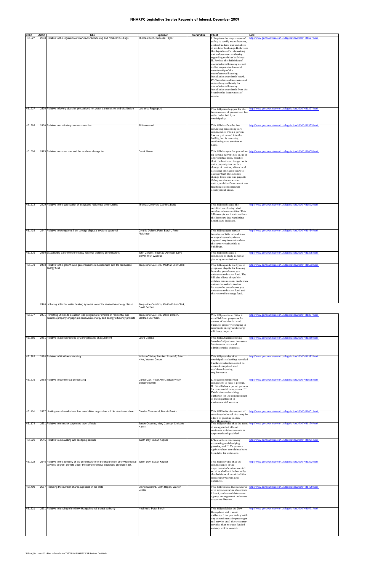#### **NHARPC Legislative Service Requests of Interest, December 2009**

| Bill #        | LSR# | Title                                                                                                                                                                                         | Sponsor                                                         | Committee | Intent                                                                                                                                                                                                                                                                                                                                                                                                                                                                                                                                                                        | Link                                                                                          |
|---------------|------|-----------------------------------------------------------------------------------------------------------------------------------------------------------------------------------------------|-----------------------------------------------------------------|-----------|-------------------------------------------------------------------------------------------------------------------------------------------------------------------------------------------------------------------------------------------------------------------------------------------------------------------------------------------------------------------------------------------------------------------------------------------------------------------------------------------------------------------------------------------------------------------------------|-----------------------------------------------------------------------------------------------|
| HB1627        |      | 2368 Relative to the regulation of manufactured housing and modular buildings                                                                                                                 | Thomas Buco, Kathleen Taylor                                    |           | Requires the department of<br>safety to certify manufactures,<br>dealer/builders, and installers<br>of modular buildings.II. Revise<br>the department's rulemaking<br>and enforcement authority<br>egarding modular buildings.<br>II. Revises the definition of<br>manufactured housing as well<br>as the responsibilities and<br>membership of the<br>manufactured housing<br>installation standards board.<br>IV. Transfers enforcement and<br>rulemaking authority for<br>manufactured housing<br>installation standards from the<br>board to the department of<br>safety. | ttp://www.gencourt.state.nh.us/legislation/2010/HB1627.html                                   |
| <b>HB1227</b> |      | 2390 Relative to laying pipes for pressurized hot water transmission and distribution                                                                                                         | Laurance Rappaport                                              |           | This bill permits pipes for the<br>transmission of pressurized hot<br>water to be laid by a<br>municipality.                                                                                                                                                                                                                                                                                                                                                                                                                                                                  | ttp://www.gencourt.state.nh.us/legislation/2010/HB1227.html                                   |
| HB1363        |      | 2400 Relative to continuing care communities                                                                                                                                                  | Jill Hammond                                                    |           | This bill clarifies the law<br>regulating continuing care<br>communities when a person<br>has not yet moved into the<br>facility, but is receiving<br>continuing care services at<br>home.                                                                                                                                                                                                                                                                                                                                                                                    | ttp://www.gencourt.state.nh.us/legislation/2010/HB1363.html                                   |
| HB1609        |      | 2415 Relative to current use and the land use change tax                                                                                                                                      | Derek Owen                                                      |           | This bill changes the procedure<br>for setting current use value of<br>unproductive land, clarifies<br>that the land use change tax is<br>not a property tax but is a<br>change of use tax, allows local<br>assessing officials 5 years to<br>discover that the land use<br>change tax is due and payable<br>if they receive no written<br>notice, and clarifies current use<br>taxation of condominium<br>development areas.                                                                                                                                                 | http://www.gencourt.state.nh.us/legislation/2010/HB1609.html                                  |
| HB1572        |      | 2429 Relative to the certification of integrated residential communities                                                                                                                      | Thomas Donovan, Catriona Beck                                   |           | This bill establishes the                                                                                                                                                                                                                                                                                                                                                                                                                                                                                                                                                     | http://www.gencourt.state.nh.us/legislation/2010/HB1572.html                                  |
|               |      |                                                                                                                                                                                               |                                                                 |           | ertification of integrated<br>residential communities. This<br>bill exempts such entities from<br>the licensure law regulating<br>health care facilities.                                                                                                                                                                                                                                                                                                                                                                                                                     |                                                                                               |
| HB1434        |      | 2447 Relative to exemptions from sewage disposal systems approval                                                                                                                             | Cynthia Dokmo, Peter Bergin, Peter<br>Fleishman                 |           | This bill exempts certain<br>transfers of title to land from<br>sewage disposal systems<br>approval requirements when<br>the owner retains title to<br>buildings.                                                                                                                                                                                                                                                                                                                                                                                                             | http://www.gencourt.state.nh.us/legislation/2010/HB1434.html                                  |
| HB1375        |      | 2450 Establishing a committee to study regional planning commissions                                                                                                                          | John Cloutier, Thomas Donovan, Larry<br>Brown, Rick Watrous     |           | This bill establishes a<br>committee to study regional<br>planning commissions.                                                                                                                                                                                                                                                                                                                                                                                                                                                                                               | http://www.gencourt.state.nh.us/legislation/2010/HB1375.html                                  |
| <b>HB1573</b> |      | 2468 Relative to the greenhouse gas emissions reduction fund and the renewable<br>energy fund                                                                                                 | Jacqueline Cali-Pitts, Martha Fuller Clark                      |           | This bill expands the types of<br>programs eligible for funding<br>from the greenhouse gas<br>emissions reduction fund. The<br>bill also allows the public<br>utilities commission, on its own<br>motion, to make transfers<br>between the greenhouse gas<br>emissions reduction fund and<br>the renewable energy fund.                                                                                                                                                                                                                                                       | ttp://www.gencourt.state.nh.us/legislation/2010/HB1573.html                                   |
|               |      | 2470 Including solar hot water heating systems in electric renewable energy class I                                                                                                           | Jacqueline Cali-Pitts, Martha Fuller Clark,<br>David Borden     |           |                                                                                                                                                                                                                                                                                                                                                                                                                                                                                                                                                                               |                                                                                               |
| <b>HB1377</b> |      | 2471 Permitting utilities to establish loan programs for owners of residential and<br>business property engaging in renewable energy and energy efficiency projects                           | Jacqueline Cali-Pitts, David Borden,<br>Martha Fuller Clark     |           | This bill permits utilities to<br>establish loan programs for<br>owners of residential and<br>business property engaging in<br>renewable energy and energy<br>efficiency projects.                                                                                                                                                                                                                                                                                                                                                                                            | http://www.gencourt.state.nh.us/legislation/2010/HB1377.html                                  |
| HB1380        |      | 2481 Relative to assessing fees by zoning boards of adjustment                                                                                                                                | Laura Gandia                                                    |           | This bill authorizes zoning<br>boards of adjustment to assess<br>fees to cover costs and<br>administrative expenses.                                                                                                                                                                                                                                                                                                                                                                                                                                                          | http://www.gencourt.state.nh.us/legislation/2010/HB1380.html                                  |
| <b>HB1382</b> |      | 2484 Relative to Workforce Housing                                                                                                                                                            | William O'brien, Stephen Shurtleff, John<br>Hikel, Warren Groen |           | This bill provides that<br>municipalities lacking specified<br>building restrictions shall be<br>deemed compliant with<br>workforce housing<br>equirements.                                                                                                                                                                                                                                                                                                                                                                                                                   | http://www.gencourt.state.nh.us/legislation/2010/HB1382.html                                  |
| <b>HB1575</b> |      | 2488 Relative to commercial composting                                                                                                                                                        | Daniel Carr, Peter Allen, Susan Wiley,<br>Suzanne Smith         |           | . Requires commercial<br>composters to have a permit.<br>II. Establishes a permit process<br>for commercial composters. III.<br>Establishes rulemaking<br>authority for the commissioner<br>of the department of<br>environmental services.                                                                                                                                                                                                                                                                                                                                   | http://www.gencourt.state.nh.us/legislation/2010/HB1575.html                                  |
| HB1401        |      | 2497 Limiting corn-based ethanol as an additive to gasoline sold in New Hampshire                                                                                                             | Charles Townsend, Beatriz Pastor                                |           | This bill limits the amount of<br>corn-based ethanol that may be<br>added to gasoline sold in                                                                                                                                                                                                                                                                                                                                                                                                                                                                                 | http://www.gencourt.state.nh.us/legislation/2010/HB1401.html                                  |
| <b>HB1174</b> |      | 2531 Relative to terms for appointed town officials                                                                                                                                           | Jessie Osborne, Mary Cooney, Christine<br>Hamm                  |           | New Hampshire.<br>of an appointed official<br>continues until a successor is<br>appointed and qualified.                                                                                                                                                                                                                                                                                                                                                                                                                                                                      | This bill provides that the term http://www.gencourt.state.nh.us/legislation/2010/HB1174.html |
| <b>HB1221</b> |      | 2545 Relative to excavating and dredging permits                                                                                                                                              | Judith Day, Susan Kepner                                        |           | To abutters concerning<br>excavating and dredging<br>permits, and II. To persons<br>against whom complaints have<br>been filed for violations.                                                                                                                                                                                                                                                                                                                                                                                                                                | http://www.gencourt.state.nh.us/legislation/2010/HB1221.html                                  |
| HB1222        |      | 2546 Relative to the authority of the commissioner of the department of environmental Judith Day, Susan Kepner<br>services to grant permits under the comprehensive shoreland protection act. |                                                                 |           | This bill provides that the<br>commissioner of the<br>department of environmental<br>services shall not be bound by<br>the decisions of municipalities<br>concerning waivers and<br>variances.                                                                                                                                                                                                                                                                                                                                                                                | http://www.gencourt.state.nh.us/legislation/2010/HB1222.html                                  |
| <b>HB1499</b> |      | 2557 Reducing the number of area agencies in the state                                                                                                                                        | Elaine Swinford, Edith Hogan, Warren<br>Groen                   |           | This bill reduces the number of<br>area agencies in the state from<br>12 to 4, and consolidates area<br>agency management under one<br>executive director.                                                                                                                                                                                                                                                                                                                                                                                                                    | http://www.gencourt.state.nh.us/legislation/2010/HB1499.html                                  |
| <b>HB1521</b> |      | 2571 Relative to funding of the New Hampshire rail transit authority                                                                                                                          | Neal Kurk, Peter Bergin                                         |           | This bill prohibits the New<br>Hampshire rail transit<br>authority from proceeding with<br>any commitment for passenger<br>rail service until the treasurer<br>certifies that no state-funded<br>subsidy will be needed.                                                                                                                                                                                                                                                                                                                                                      | http://www.gencourt.state.nh.us/legislation/2010/HB1521.html                                  |